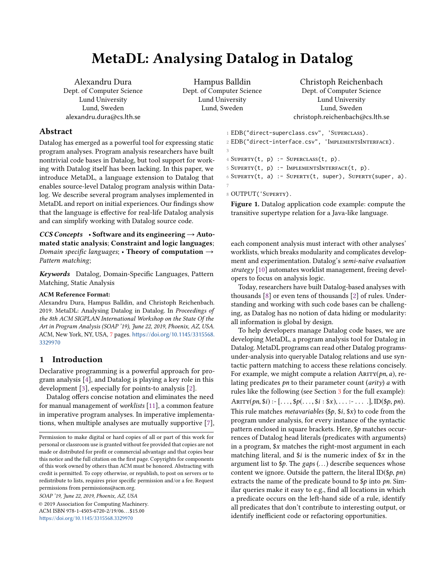# MetaDL: Analysing Datalog in Datalog

Alexandru Dura Dept. of Computer Science Lund University Lund, Sweden alexandru.dura@cs.lth.se

Hampus Balldin Dept. of Computer Science Lund University Lund, Sweden

7

Christoph Reichenbach Dept. of Computer Science Lund University Lund, Sweden christoph.reichenbach@cs.lth.se

# Abstract

Datalog has emerged as a powerful tool for expressing static program analyses. Program analysis researchers have built nontrivial code bases in Datalog, but tool support for working with Datalog itself has been lacking. In this paper, we introduce MetaDL, a language extension to Datalog that enables source-level Datalog program analysis within Datalog. We describe several program analyses implemented in MetaDL and report on initial experiences. Our findings show that the language is effective for real-life Datalog analysis and can simplify working with Datalog source code.

 $CCS$  Concepts • Software and its engineering  $\rightarrow$  Automated static analysis; Constraint and logic languages; Domain specific languages; • Theory of computation  $\rightarrow$ Pattern matching;

Keywords Datalog, Domain-Specific Languages, Pattern Matching, Static Analysis

#### ACM Reference Format:

Alexandru Dura, Hampus Balldin, and Christoph Reichenbach. 2019. MetaDL: Analysing Datalog in Datalog. In Proceedings of the 8th ACM SIGPLAN International Workshop on the State Of the Art in Program Analysis (SOAP '19), June 22, 2019, Phoenix, AZ, USA. ACM, New York, NY, USA, [7](#page-6-0) pages. [https://doi.org/10.1145/3315568.](https://doi.org/10.1145/3315568.3329970) [3329970](https://doi.org/10.1145/3315568.3329970)

# 1 Introduction

Declarative programming is a powerful approach for program analysis [\[4\]](#page-5-0), and Datalog is playing a key role in this development [\[3\]](#page-5-1), especially for points-to analysis [\[2\]](#page-5-2).

Datalog offers concise notation and eliminates the need for manual management of worklists [\[11\]](#page-5-3), a common feature in imperative program analyses. In imperative implementations, when multiple analyses are mutually supportive [\[7\]](#page-5-4),

SOAP '19, June 22, 2019, Phoenix, AZ, USA

© 2019 Association for Computing Machinery. ACM ISBN 978-1-4503-6720-2/19/06. . . \$15.00 <https://doi.org/10.1145/3315568.3329970>

```
1 EDB("direct-superclass.csv", 'Superclass).
2 EDB("direct-interface.csv", 'ImplementsInterface).
3
4 SUPERTY(t, p) : - SUPERCLASS(t, p).
5 SUPERTY(t, p) : - IMPLEMENTSINTERFACE(t, p).
6 SUPERTY(t, a) : SUPERTY(t, super), SUPERTY(super, a).
```
8 OUTPUT('SUPERTY).

Figure 1. Datalog application code example: compute the transitive supertype relation for a Java-like language.

each component analysis must interact with other analyses' worklists, which breaks modularity and complicates development and experimentation. Datalog's semi-naïve evaluation strategy [\[10\]](#page-5-5) automates worklist management, freeing developers to focus on analysis logic.

Today, researchers have built Datalog-based analyses with thousands [\[8\]](#page-5-6) or even tens of thousands [\[2\]](#page-5-2) of rules. Understanding and working with such code bases can be challenging, as Datalog has no notion of data hiding or modularity: all information is global by design.

To help developers manage Datalog code bases, we are developing MetaDL, a program analysis tool for Datalog in Datalog. MetaDL programs can read other Datalog programsunder-analysis into queryable Datalog relations and use syntactic pattern matching to access these relations concisely. For example, we might compute a relation  $\text{ARTY}(pn, a)$ , relating predicates pn to their parameter count (arity) a with rules like the following (see Section [3](#page-1-0) for the full example): ARITY $(pn, $i) : [\ldots, $p(\ldots, $i : $x), \ldots : \ldots], \text{ID}($p, pn).$ This rule matches *metavariables* ( $\$p, \$i, \$x$ ) to code from the program under analysis, for every instance of the syntactic pattern enclosed in square brackets. Here, \$p matches occurrences of Datalog head literals (predicates with arguments) in a program, \$x matches the right-most argument in each matching literal, and  $$i$  is the numeric index of  $$x$  in the argument list to  $$p$ . The gaps (...) describe sequences whose content we ignore. Outside the pattern, the literal  $ID(\$p, pn)$ extracts the name of the predicate bound to  $$p$  into  $pn$ . Similar queries make it easy to e.g., find all locations in which a predicate occurs on the left-hand side of a rule, identify all predicates that don't contribute to interesting output, or identify inefficient code or refactoring opportunities.

Permission to make digital or hard copies of all or part of this work for personal or classroom use is granted without fee provided that copies are not made or distributed for profit or commercial advantage and that copies bear this notice and the full citation on the first page. Copyrights for components of this work owned by others than ACM must be honored. Abstracting with credit is permitted. To copy otherwise, or republish, to post on servers or to redistribute to lists, requires prior specific permission and/or a fee. Request permissions from permissions@acm.org.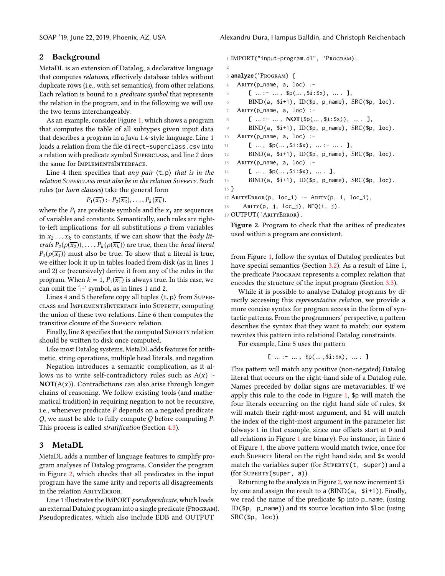## 2 Background

MetaDL is an extension of Datalog, a declarative language that computes relations, effectively database tables without duplicate rows (i.e., with set semantics), from other relations. Each relation is bound to a predicate symbol that represents the relation in the program, and in the following we will use the two terms interchangeably.

As an example, consider Figure [1,](#page-0-0) which shows a program that computes the table of all subtypes given input data that describes a program in a Java 1.4-style language. Line 1 loads a relation from the file direct-superclass.csv into a relation with predicate symbol Superclass, and line 2 does the same for IMPLEMENTSINTERFACE.

Line 4 then specifies that any pair  $\langle t, p \rangle$  that is in the relation SUPERCLASS must also be in the relation SUPERTY. Such rules (or horn clauses) take the general form

$$
P_1(\overline{x_1})\, P_2(\overline{x_2}), \ldots, P_k(\overline{x_k}).
$$

where the  $P_i$  are predicate symbols and the  $\overline{x_j}$  are sequences<br>of variables and constants. Semantically, such rules are right. of variables and constants. Semantically, such rules are rightto-left implications: for all substitutions  $\rho$  from variables in  $\overline{x_2} \ldots \overline{x_k}$  to constants, if we can show that the *body literals*  $P_2(\rho(\overline{x_2}))$ , ...,  $P_k(\rho(\overline{x_k}))$  are true, then the *head literal*  $P_1(\rho(\overline{x_1}))$  must also be true. To show that a literal is true, we either look it up in tables loaded from disk (as in lines 1 and 2) or (recursively) derive it from any of the rules in the program. When  $k = 1$ ,  $P_1(\overline{x_1})$  is always true. In this case, we can omit the ':-' symbol, as in lines 1 and 2.

Lines 4 and 5 therefore copy all tuples  $\langle t, p \rangle$  from Superclass and ImplementsInterface into Superty, computing the union of these two relations. Line 6 then computes the transitive closure of the Superty relation.

Finally, line 8 specifies that the computed Superty relation should be written to disk once computed.

Like most Datalog systems, MetaDL adds features for arithmetic, string operations, multiple head literals, and negation.

Negation introduces a semantic complication, as it allows us to write self-contradictory rules such as  $A(x)$ : **NOT** $(A(x))$ . Contradictions can also arise through longer chains of reasoning. We follow existing tools (and mathematical tradition) in requiring negation to not be recursive, i.e., whenever predicate  $P$  depends on a negated predicate  $Q$ , we must be able to fully compute  $Q$  before computing  $P$ . This process is called stratification (Section [4.3\)](#page-4-0).

#### <span id="page-1-0"></span>3 MetaDL

MetaDL adds a number of language features to simplify program analyses of Datalog programs. Consider the program in Figure [2,](#page-1-1) which checks that all predicates in the input program have the same arity and reports all disagreements in the relation ARITYERROR.

Line 1 illustrates the IMPORT pseudopredicate, which loads an external Datalog program into a single predicate (Program). Pseudopredicates, which also include EDB and OUTPUT

```
1 IMPORT("input-program.dl", 'Program).
2
3 analyze('Program) {
4 ARITY(p_name, a, loc) :-
5 [ ... :- ... , $p(... ,$i:$x), ... . ],
6 BIND(a, \frac{\sinh(1)}{\sinh(1)}, ID(\frac{\sinh(1)}{\sinh(1)}, SRC(\frac{\sinh(1)}{\sinh(1)}, Ioc).
7 ARITY(p_name, a, loc) :-
8 [ ... :- ... , NOT($p(... ,$i:$x)), ... . ],
9 BIND(a, $i+1), ID($p, p_name), SRC($p, loc).
10 ARITY (p_name, a, loc) :-
11 [ ... , $p(... ,$i:$x), ... :- ... . ],
12 BIND(a, $i+1), ID($p, p_name), SRC($p, loc).
13 ARITY(p\_name, a, loc) :-
14 [ ... , $p(... ,$i:$x), ... . ],
15 BIND(a, $i+1), ID($p, p_name), SRC($p, loc).
16 }
17 ARITYERROR(p, loc_i) :- ARITY(p, i, loc_i),
18 \text{ARTY}(p, j, \text{loc}_j), NEQ(i, j).
19 OUTPUT('ArityError).
```
Figure 2. Program to check that the arities of predicates used within a program are consistent.

from Figure [1,](#page-0-0) follow the syntax of Datalog predicates but have special semantics (Section [3.2\)](#page-2-0). As a result of Line 1, the predicate Program represents a complex relation that encodes the structure of the input program (Section [3.3\)](#page-2-1).

While it is possible to analyse Datalog programs by directly accessing this representative relation, we provide a more concise syntax for program access in the form of syntactic patterns. From the programmers' perspective, a pattern describes the syntax that they want to match; our system rewrites this pattern into relational Datalog constraints.

For example, Line 5 uses the pattern

**[** ... :- ... , \$p(... ,\$i:\$x), ... . **]**

This pattern will match any positive (non-negated) Datalog literal that occurs on the right-hand side of a Datalog rule. Names preceded by dollar signs are metavariables. If we apply this rule to the code in Figure [1,](#page-0-0) \$p will match the four literals occurring on the right hand side of rules, \$x will match their right-most argument, and \$i will match the index of the right-most argument in the parameter list (always 1 in that example, since our offsets start at 0 and all relations in Figure [1](#page-0-0) are binary). For instance, in Line 6 of Figure [1,](#page-0-0) the above pattern would match twice, once for each Superty literal on the right hand side, and \$x would match the variables super (for SUPERTY( $t$ , super)) and a  $(for$  SUPERTY(super, a)).

Returning to the analysis in Figure [2,](#page-1-1) we now increment \$i by one and assign the result to a (BIND(a, \$i+1)). Finally, we read the name of the predicate \$p into p\_name. (using ID(\$p, p\_name)) and its source location into \$loc (using  $SRC$  (\$p, loc)).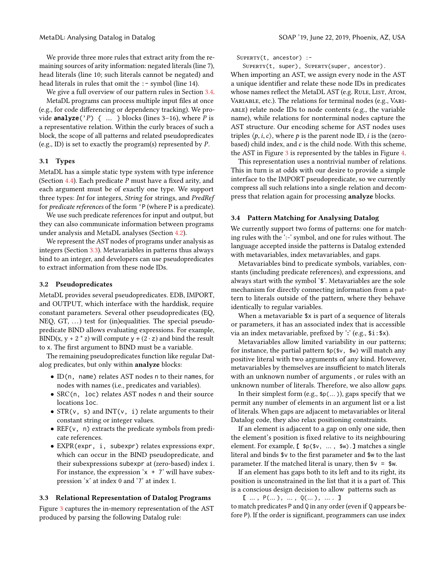We provide three more rules that extract arity from the remaining sources of arity information: negated literals (line 7), head literals (line 10; such literals cannot be negated) and head literals in rules that omit the : - symbol (line 14).

We give a full overview of our pattern rules in Section [3.4.](#page-2-2)

MetaDL programs can process multiple input files at once (e.g., for code differencing or dependency tracking). We provide **analyze**( $'P$ ) { ... } blocks (lines 3-16), where *P* is a representative relation. Within the curly braces of such a block, the scope of all patterns and related pseudopredicates (e.g., ID) is set to exactly the program(s) represented by P.

#### 3.1 Types

MetaDL has a simple static type system with type inference (Section [4.4\)](#page-4-1). Each predicate  $P$  must have a fixed arity, and each argument must be of exactly one type. We support three types: Int for integers, String for strings, and PredRef for predicate references of the form 'P (where P is a predicate).

We use such predicate references for input and output, but they can also communicate information between programs under analysis and MetaDL analyses (Section [4.2\)](#page-3-0).

We represent the AST nodes of programs under analysis as integers (Section [3.3\)](#page-2-1). Metavariables in patterns thus always bind to an integer, and developers can use pseudopredicates to extract information from these node IDs.

#### <span id="page-2-0"></span>3.2 Pseudopredicates

MetaDL provides several pseudopredicates. EDB, IMPORT, and OUTPUT, which interface with the harddisk, require constant parameters. Several other pseudopredicates (EQ, NEQ, GT, ...) test for (in)equalities. The special pseudopredicate BIND allows evaluating expressions. For example, BIND(x,  $y + 2 * z$ ) will compute  $y + (2 \cdot z)$  and bind the result to x. The first argument to BIND must be a variable.

The remaining pseudopredicates function like regular Datalog predicates, but only within analyze blocks:

- ID(n, name) relates AST nodes n to their names, for nodes with names (i.e., predicates and variables).
- SRC(n, loc) relates AST nodes n and their source locations loc.
- STR( $v$ , s) and INT( $v$ , i) relate arguments to their constant string or integer values.
- REF(v, n) extracts the predicate symbols from predicate references.
- EXPR(expr, i, subexpr) relates expressions expr, which can occur in the BIND pseudopredicate, and their subexpressions subexpr at (zero-based) index i. For instance, the expression  $x + 7$  will have subexpression 'x' at index 0 and '7' at index 1.

#### <span id="page-2-1"></span>3.3 Relational Representation of Datalog Programs

Figure [3](#page-3-1) captures the in-memory representation of the AST produced by parsing the following Datalog rule:

SUPERTY(t, ancestor) :-

SUPERTY(t, super), SUPERTY(super, ancestor).

When importing an AST, we assign every node in the AST a unique identifier and relate these node IDs in predicates whose names reflect the MetaDL AST (e.g. RULE, LIST, ATOM, VARIABLE, etc.). The relations for terminal nodes (e.g., VARIable) relate node IDs to node contents (e.g., the variable name), while relations for nonterminal nodes capture the AST structure. Our encoding scheme for AST nodes uses triples  $\langle p, i, c \rangle$ , where p is the parent node ID, i is the (zerobased) child index, and c is the child node. With this scheme, the AST in Figure [3](#page-3-1) is represented by the tables in Figure [4.](#page-3-2)

This representation uses a nontrivial number of relations. This in turn is at odds with our desire to provide a simple interface to the IMPORT pseudopredicate, so we currently compress all such relations into a single relation and decompress that relation again for processing analyze blocks.

#### <span id="page-2-2"></span>3.4 Pattern Matching for Analysing Datalog

We currently support two forms of patterns: one for matching rules with the ':-' symbol, and one for rules without. The language accepted inside the patterns is Datalog extended with metavariables, index metavariables, and gaps.

Metavariables bind to predicate symbols, variables, constants (including predicate references), and expressions, and always start with the symbol '\$'. Metavariables are the sole mechanism for directly connecting information from a pattern to literals outside of the pattern, where they behave identically to regular variables.

When a metavariable \$x is part of a sequence of literals or parameters, it has an associated index that is accessible via an index metavariable, prefixed by  $\cdot$  (e.g.,  $\pm i:\pm x$ ).

Metavariables allow limited variability in our patterns; for instance, the partial pattern  $p(x, \ x)$  will match any positive literal with two arguments of any kind. However, metavariables by themselves are insufficient to match literals with an unknown number of arguments , or rules with an unknown number of literals. Therefore, we also allow gaps.

In their simplest form (e.g.,  $\mathfrak{sp}(\dots)$ ), gaps specify that we permit any number of elements in an argument list or a list of literals. When gaps are adjacent to metavariables or literal Datalog code, they also relax positioning constraints.

If an element is adjacent to a gap on only one side, then the element's position is fixed relative to its neighbouring element. For example, **[** \$p(\$v, ... , \$w).**]** matches a single literal and binds \$v to the first parameter and \$w to the last parameter. If the matched literal is unary, then  $v = sw$ .

If an element has gaps both to its left and to its right, its position is unconstrained in the list that it is a part of. This is a conscious design decision to allow patterns such as

**[** ... , P(... ), ... , Q(... ), ... . **]** to match predicates P and Q in any order (even if Q appears before P). If the order is significant, programmers can use index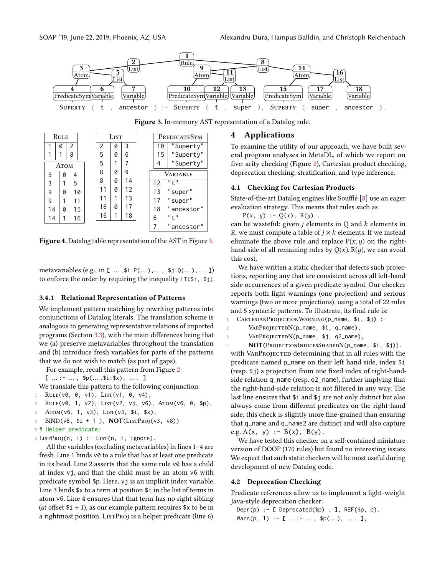<span id="page-3-1"></span>

Figure 3. In-memory AST representation of a Datalog rule.

<span id="page-3-2"></span>

Figure 4. Datalog table representation of the AST in Figure [3.](#page-3-1)

metavariables (e.g., in **[** ... ,\$i:P(... ),... , \$j:Q(... ),... .**]**) to enforce the order by requiring the inequality  $LT(\hat{\mathfrak{s}}_i, \hat{\mathfrak{s}}_j)$ .

#### 3.4.1 Relational Representation of Patterns

We implement pattern matching by rewriting patterns into conjunctions of Datalog literals. The translation scheme is analogous to generating representative relations of imported programs (Section [3.3\)](#page-2-1), with the main differences being that we (a) preserve metavariables throughout the translation and (b) introduce fresh variables for parts of the patterns that we do not wish to match (as part of gaps).

For example, recall this pattern from Figure [2:](#page-1-1)

**[** ... :- ... , \$p(... ,\$i:\$x), ... . **]**

We translate this pattern to the following conjunction:

- RULE(v0, 0, v1), LIST(v1, 0, v4),
- 2 Rule(v0, 1, v2), List(v2, vj, v6), Atom(v6, 0, \$p),
- $3$  ATOM(v6, 1, v3), LIST(v3, \$i, \$x),
- $BIND(v8, $i + 1)$ ,  $NOT(LISTProj(v3, v8))$

5 # Helper predicate:

 $6$  LIST $Proof(n, i)$  : - LIST $(n, i, i)$  ignore).

All the variables (excluding metavariables) in lines 1–4 are fresh. Line 1 binds v0 to a rule that has at least one predicate in its head. Line 2 asserts that the same rule v0 has a child at index vj, and that the child must be an atom v6 with predicate symbol \$p. Here, vj is an implicit index variable. Line 3 binds \$x to a term at position \$i in the list of terms in atom v6. Line 4 ensures that that term has no right sibling (at offset  $$i + 1$ ), as our example pattern requires  $$x$$  to be in a rightmost position. LISTPROJ is a helper predicate (line 6).

# 4 Applications

To examine the utility of our approach, we have built several program analyses in MetaDL, of which we report on five: arity checking (Figure [2\)](#page-1-1), Cartesian product checking, deprecation checking, stratification, and type inference.

#### <span id="page-3-3"></span>4.1 Checking for Cartesian Products

State-of-the-art Datalog engines like Soufflé [\[8\]](#page-5-6) use an eager evaluation strategy. This means that rules such as

 $P(x, y) := Q(x), R(y)$ .

can be wasteful: given  $j$  elements in  $Q$  and  $k$  elements in R, we must compute a table of  $j \times k$  elements. If we instead eliminate the above rule and replace  $P(x, y)$  on the righthand side of all remaining rules by  $Q(x)$ ,  $R(y)$ , we can avoid this cost.

We have written a static checker that detects such projections, reporting any that are consistent across all left-hand side occurrences of a given predicate symbol. Our checker reports both light warnings (one projection) and serious warnings (two or more projections), using a total of 22 rules and 5 syntactic patterns. To illustrate, its final rule is:

- CARTESIANPROJECTIONWARNING(p\_name, \$i, \$j) :-
- 2 VARPROJECTEDN(p\_name, \$i, q\_name),

3 VarProjectedN(p\_name, \$j, q2\_name),

NOT(PROJECTIONINDICESSHAREDN(p\_name, \$i, \$j)).

with VARPROJECTED determining that in all rules with the predicate named p\_name on their left hand side, index \$i (resp. \$j) a projection from one fixed index of right-handside relation q\_name (resp. q2\_name), further implying that the right-hand-side relation is not filtered in any way. The last line ensures that \$i and \$j are not only distinct but also always come from different predicates on the right-hand side; this check is slightly more fine-grained than ensuring that q\_name and q\_name2 are distinct and will also capture e.g.  $A(x, y) := B(x), B(y)$ .

We have tested this checker on a self-contained miniature version of DOOP (170 rules) but found no interesting issues. We expect that such static checkers will be most useful during development of new Datalog code.

#### <span id="page-3-0"></span>4.2 Deprecation Checking

Predicate references allow us to implement a light-weight Java-style deprecation checker:

Depr(p) :- **[** Deprecated(\$p) . **]**, REF(\$p, p). Warn(p, l) :- **[** ... :- ... , \$p(... ), ... . **]**,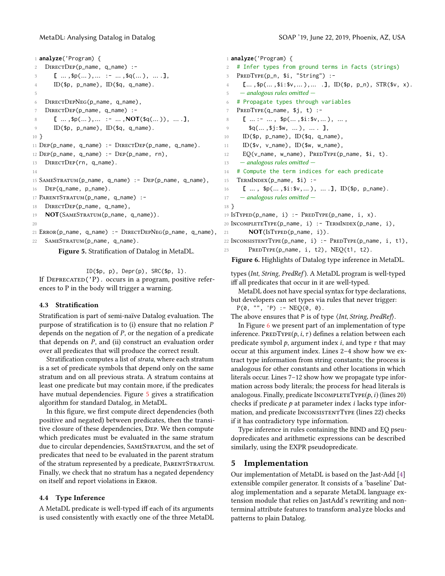```
1 analyze('Program) {
2 DirectDep(p_name, q_name) :-
3 [ ... ,$p(... ),... :- ... ,$q(... ), ... .],
 4 ID($p, p_name), ID($q, q_name).
5
6 DirectDepNeg(p_name, q_name),
7 DIRECTDEP(p_name, q_name) :-
8 \qquad \qquad \mathbb{E} \quad ... \quad , \mathfrak{sp}(...), ... := ... \quad ,\text{NOT}(\mathfrak{sq}(...)), ... \quad .\mathbb{I},9 ID($p, p_name), ID($q, q_name).
10 }
11 Dep(p_name, q_name) :- DirectDep(p_name, q_name).
12 DEP(p_name, q_name) :- DEP(p_name, rn),
13 DIRECTDEP(rn, q_name).
14
15 SameStratum(p_name, q_name) :- Dep(p_name, q_name),
16 Dep(q_name, p_name).
17 PARENTSTRATUM(p_name, q_name) :-
18 DirectDep(p_name, q_name),
19 NOT(SAMESTRATUM(p_name, q_name)).
2021 Error(p_name, q_name) :- DirectDepNeg(p_name, q_name),
```
22 SAMESTRATUM(p\_name, q\_name).

Figure 5. Stratification of Datalog in MetaDL.

ID $(\text{sp}, \text{p})$ , Depr $(\text{p})$ , SRC $(\text{sp}, 1)$ . If Deprecated('P). occurs in a program, positive references to P in the body will trigger a warning.

#### <span id="page-4-0"></span>4.3 Stratification

Stratification is part of semi-naïve Datalog evaluation. The purpose of stratification is to (i) ensure that no relation P depends on the negation of  $P$ , or the negation of a predicate that depends on  $P$ , and (ii) construct an evaluation order over all predicates that will produce the correct result.

Stratification computes a list of strata, where each stratum is a set of predicate symbols that depend only on the same stratum and on all previous strata. A stratum contains at least one predicate but may contain more, if the predicates have mutual dependencies. Figure [5](#page-4-2) gives a stratification algorithm for standard Datalog, in MetaDL.

In this figure, we first compute direct dependencies (both positive and negated) between predicates, then the transitive closure of these dependencies, Dep. We then compute which predicates must be evaluated in the same stratum due to circular dependencies, SAMESTRATUM, and the set of predicates that need to be evaluated in the parent stratum of the stratum represented by a predicate, PARENTSTRATUM. Finally, we check that no stratum has a negated dependency on itself and report violations in Error.

# <span id="page-4-1"></span>4.4 Type Inference

A MetaDL predicate is well-typed iff each of its arguments is used consistently with exactly one of the three MetaDL

```
1 analyze('Program) {
2 # Infer types from ground terms in facts (strings)
3 PredType(p_n, $i, "String") :-
4 [... ,$p(... ,$i:$v,... ),... .], ID($p, p_n), STR($v, x).
5 - analogous rules omitted -6 # Propagate types through variables
7 PREDTYPE(q_name, $j, t) :-
8 [ ... : - ..., $p(..., $i:$v, ...), ...,
9 $q(... ,$j:$w, ... ), ... . ],
10 ID($p, p_name), ID($q, q_name),
11 ID(\sqrt[6]{ }, v_name), ID(\sqrt[6]{ }w, w_name),
12 EQ(v_name, w_name), PREDTYPE(p_name, $i, t).
13 - analogous rules omitted -14 # Compute the term indices for each predicate
15 TERMINDEX(p_name, $i) :-
16 [ ... , $p(... ,$i:$v,... ), ... .], ID($p, p_name).
17 - analogous rules omitted -18 }
19 IsTyped(p_name, i) :- PREDType(p_name, i, x).
20 IncompleteType(p_name, i) :- TermIndex(p_name, i),
21 NOT(IsTypeD(p_name, i)).22 INCONSISTENTTYPE(p_name, i) :- PREDTYPE(p_name, i, t1),
PREDType(p_name, i, t2), NEO(t1, t2).
```
Figure 6. Highlights of Datalog type inference in MetaDL.

types (Int, String, PredRef). A MetaDL program is well-typed iff all predicates that occur in it are well-typed.

MetaDL does not have special syntax for type declarations, but developers can set types via rules that never trigger:  $P(\emptyset, "", 'P) :- NEQ(\emptyset, \emptyset).$ 

The above ensures that P is of type  $\langle Int, String, PredRef \rangle$ .

In Figure [6](#page-4-3) we present part of an implementation of type inference. PREDTYPE $(p, i, \tau)$  defines a relation between each predicate symbol  $p$ , argument index *i*, and type  $\tau$  that may occur at this argument index. Lines 2–4 show how we extract type information from string constants; the process is analogous for other constants and other locations in which literals occur. Lines 7–12 show how we propagate type information across body literals; the process for head literals is analogous. Finally, predicate INCOMPLETETYPE $(p, i)$  (lines 20) checks if predicate  $p$  at parameter index  $i$  lacks type information, and predicate InconsistentType (lines 22) checks if it has contradictory type information.

Type inference in rules containing the BIND and EQ pseudopredicates and arithmetic expressions can be described similarly, using the EXPR pseudopredicate.

# 5 Implementation

Our implementation of MetaDL is based on the Jast-Add [\[4\]](#page-5-0) extensible compiler generator. It consists of a 'baseline' Datalog implementation and a separate MetaDL language extension module that relies on JastAdd's rewriting and nonterminal attribute features to transform analyze blocks and patterns to plain Datalog.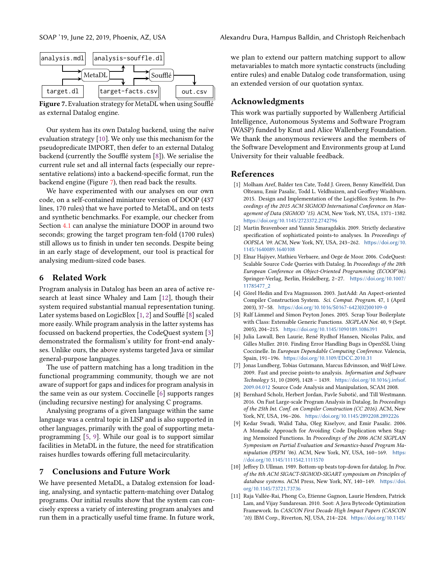<span id="page-5-7"></span>

Figure 7. Evaluation strategy for MetaDL when using Soufflé as external Datalog engine.

Our system has its own Datalog backend, using the naïve evaluation strategy [\[10\]](#page-5-5). We only use this mechanism for the pseudopredicate IMPORT, then defer to an external Datalog backend (currently the Soufflé system [\[8\]](#page-5-6)). We serialise the current rule set and all internal facts (especially our representative relations) into a backend-specific format, run the backend engine (Figure [7\)](#page-5-7), then read back the results.

We have experimented with our analyses on our own code, on a self-contained miniature version of DOOP (437 lines, 170 rules) that we have ported to MetaDL, and on tests and synthetic benchmarks. For example, our checker from Section [4.1](#page-3-3) can analyse the miniature DOOP in around two seconds; growing the target program ten-fold (1700 rules) still allows us to finish in under ten seconds. Despite being in an early stage of development, our tool is practical for analysing medium-sized code bases.

# 6 Related Work

Program analysis in Datalog has been an area of active research at least since Whaley and Lam [\[12\]](#page-6-1), though their system required substantial manual representation tuning. Later systems based on LogicBlox [\[1,](#page-5-8) [2\]](#page-5-2) and Soufflé [\[8\]](#page-5-6) scaled more easily. While program analysis in the latter systems has focussed on backend properties, the CodeQuest system [\[3\]](#page-5-1) demonstrated the formalism's utility for front-end analyses. Unlike ours, the above systems targeted Java or similar general-purpose languages.

The use of pattern matching has a long tradition in the functional programming community, though we are not aware of support for gaps and indices for program analysis in the same vein as our system. Coccinelle [\[6\]](#page-5-9) supports ranges (including recursive nesting) for analysing C programs.

Analysing programs of a given language within the same language was a central topic in LISP and is also supported in other languages, primarily with the goal of supporting metaprogramming [\[5,](#page-5-10) [9\]](#page-5-11). While our goal is to support similar facilities in MetaDL in the future, the need for stratification raises hurdles towards offering full metacircularity.

### 7 Conclusions and Future Work

We have presented MetaDL, a Datalog extension for loading, analysing, and syntactic pattern-matching over Datalog programs. Our initial results show that the system can concisely express a variety of interesting program analyses and run them in a practically useful time frame. In future work,

SOAP '19, June 22, 2019, Phoenix, AZ, USA Alexandru Dura, Hampus Balldin, and Christoph Reichenbach

we plan to extend our pattern matching support to allow metavariables to match more syntactic constructs (including entire rules) and enable Datalog code transformation, using an extended version of our quotation syntax.

# Acknowledgments

This work was partially supported by Wallenberg Artificial Intelligence, Autonomous Systems and Software Program (WASP) funded by Knut and Alice Wallenberg Foundation. We thank the anonymous reviewers and the members of the Software Development and Environments group at Lund University for their valuable feedback.

#### References

- <span id="page-5-8"></span>[1] Molham Aref, Balder ten Cate, Todd J. Green, Benny Kimelfeld, Dan Olteanu, Emir Pasalic, Todd L. Veldhuizen, and Geoffrey Washburn. 2015. Design and Implementation of the LogicBlox System. In Proceedings of the 2015 ACM SIGMOD International Conference on Management of Data (SIGMOD '15). ACM, New York, NY, USA, 1371–1382. <https://doi.org/10.1145/2723372.2742796>
- <span id="page-5-2"></span>[2] Martin Bravenboer and Yannis Smaragdakis. 2009. Strictly declarative specification of sophisticated points-to analyses. In Proceedings of OOPSLA '09. ACM, New York, NY, USA, 243–262. [https://doi.org/10.](https://doi.org/10.1145/1640089.1640108) [1145/1640089.1640108](https://doi.org/10.1145/1640089.1640108)
- <span id="page-5-1"></span>[3] Elnar Hajiyev, Mathieu Verbaere, and Oege de Moor. 2006. CodeQuest: Scalable Source Code Queries with Datalog. In Proceedings of the 20th European Conference on Object-Oriented Programming (ECOOP'06). Springer-Verlag, Berlin, Heidelberg, 2–27. [https://doi.org/10.1007/](https://doi.org/10.1007/11785477_2) [11785477\\_2](https://doi.org/10.1007/11785477_2)
- <span id="page-5-0"></span>[4] Görel Hedin and Eva Magnusson. 2003. JastAdd: An Aspect-oriented Compiler Construction System. Sci. Comput. Program. 47, 1 (April 2003), 37–58. [https://doi.org/10.1016/S0167-6423\(02\)00109-0](https://doi.org/10.1016/S0167-6423(02)00109-0)
- <span id="page-5-10"></span>[5] Ralf Lämmel and Simon Peyton Jones. 2005. Scrap Your Boilerplate with Class: Extensible Generic Functions. SIGPLAN Not. 40, 9 (Sept. 2005), 204–215. <https://doi.org/10.1145/1090189.1086391>
- <span id="page-5-9"></span>[6] Julia Lawall, Ben Laurie, René Rydhof Hansen, Nicolas Palix, and Gilles Muller. 2010. Finding Error Handling Bugs in OpenSSL Using Coccinelle. In European Dependable Computing Conference. Valencia, Spain, 191–196. <https://doi.org/10.1109/EDCC.2010.31>
- <span id="page-5-4"></span>[7] Jonas Lundberg, Tobias Gutzmann, Marcus Edvinsson, and Welf Löwe. 2009. Fast and precise points-to analysis. Information and Software Technology 51, 10 (2009), 1428 – 1439. [https://doi.org/10.1016/j.infsof.](https://doi.org/10.1016/j.infsof.2009.04.012) [2009.04.012](https://doi.org/10.1016/j.infsof.2009.04.012) Source Code Analysis and Manipulation, SCAM 2008.
- <span id="page-5-6"></span>[8] Bernhard Scholz, Herbert Jordan, Pavle Subotić, and Till Westmann. 2016. On Fast Large-scale Program Analysis in Datalog. In Proceedings of the 25th Int. Conf. on Compiler Construction (CC 2016). ACM, New York, NY, USA, 196–206. <https://doi.org/10.1145/2892208.2892226>
- <span id="page-5-11"></span>[9] Kedar Swadi, Walid Taha, Oleg Kiselyov, and Emir Pasalic. 2006. A Monadic Approach for Avoiding Code Duplication when Staging Memoized Functions. In Proceedings of the 2006 ACM SIGPLAN Symposium on Partial Evaluation and Semantics-based Program Manipulation (PEPM '06). ACM, New York, NY, USA, 160–169. [https:](https://doi.org/10.1145/1111542.1111570) [//doi.org/10.1145/1111542.1111570](https://doi.org/10.1145/1111542.1111570)
- <span id="page-5-5"></span>[10] Jeffrey D. Ullman. 1989. Bottom-up beats top-down for datalog. In Proc. of the 8th ACM SIGACT-SIGMOD-SIGART symposium on Principles of database systems. ACM Press, New York, NY, 140–149. [https://doi.](https://doi.org/10.1145/73721.73736) [org/10.1145/73721.73736](https://doi.org/10.1145/73721.73736)
- <span id="page-5-3"></span>[11] Raja Vallée-Rai, Phong Co, Etienne Gagnon, Laurie Hendren, Patrick Lam, and Vijay Sundaresan. 2010. Soot: A Java Bytecode Optimization Framework. In CASCON First Decade High Impact Papers (CASCON '10). IBM Corp., Riverton, NJ, USA, 214–224. [https://doi.org/10.1145/](https://doi.org/10.1145/1925805.1925818)